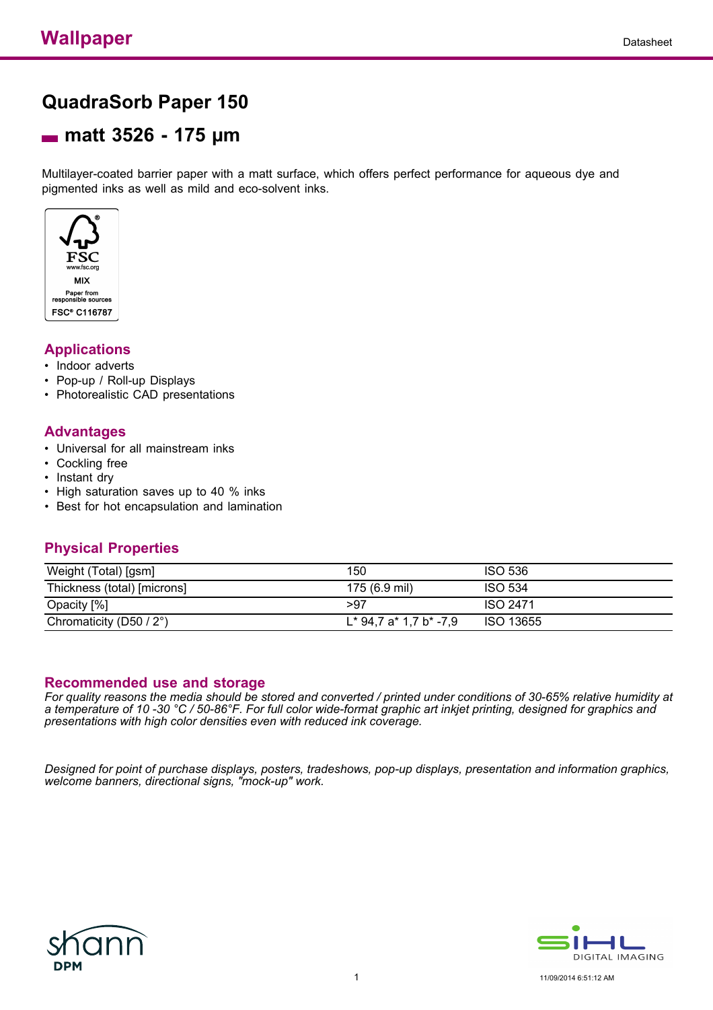# **QuadraSorb Paper 150**

## **matt 3526 - 175 µm**

Multilayer-coated barrier paper with a matt surface, which offers perfect performance for aqueous dye and pigmented inks as well as mild and eco-solvent inks.



### **Applications**

- Indoor adverts
- Pop-up / Roll-up Displays
- Photorealistic CAD presentations

### **Advantages**

- Universal for all mainstream inks
- Cockling free
- Instant dry
- High saturation saves up to 40 % inks
- Best for hot encapsulation and lamination

### **Physical Properties**

| Weight (Total) [gsm]        | 150                       | <b>ISO 536</b>   |
|-----------------------------|---------------------------|------------------|
| Thickness (total) [microns] | 175 (6.9 mil)             | <b>ISO 534</b>   |
| Opacity [%]                 | >97                       | <b>ISO 2471</b>  |
| Chromaticity (D50 / 2°)     | $L^*$ 94.7 a* 1.7 b* -7.9 | <b>ISO 13655</b> |

#### **Recommended use and storage**

*For quality reasons the media should be stored and converted / printed under conditions of 30-65% relative humidity at a temperature of 10 -30 °C / 50-86°F. For full color wide-format graphic art inkjet printing, designed for graphics and presentations with high color densities even with reduced ink coverage.*

*Designed for point of purchase displays, posters, tradeshows, pop-up displays, presentation and information graphics, welcome banners, directional signs, "mock-up" work.*